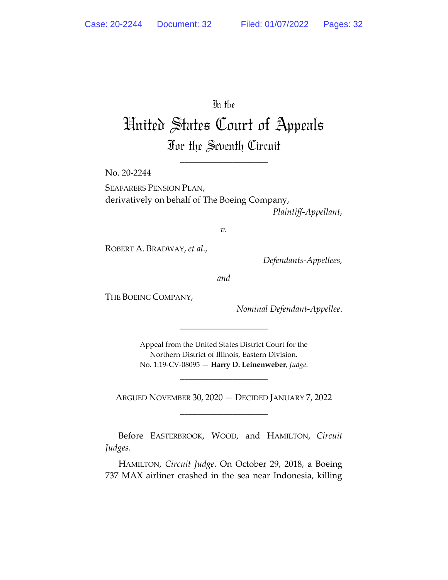In the

# United States Court of Appeals For the Seventh Circuit

\_\_\_\_\_\_\_\_\_\_\_\_\_\_\_\_\_\_\_\_

No. 20-2244

SEAFARERS PENSION PLAN, derivatively on behalf of The Boeing Company, *Plaintiff-Appellant*,

*v.*

ROBERT A. BRADWAY, *et al*.,

*Defendants-Appellees,*

*and*

THE BOEING COMPANY,

*Nominal Defendant-Appellee*.

Appeal from the United States District Court for the Northern District of Illinois, Eastern Division. No. 1:19-CV-08095 — **Harry D. Leinenweber**, *Judge*.

\_\_\_\_\_\_\_\_\_\_\_\_\_\_\_\_\_\_\_\_

\_\_\_\_\_\_\_\_\_\_\_\_\_\_\_\_\_\_\_\_

ARGUED NOVEMBER 30, 2020 — DECIDED JANUARY 7, 2022 \_\_\_\_\_\_\_\_\_\_\_\_\_\_\_\_\_\_\_\_

Before EASTERBROOK, WOOD, and HAMILTON, *Circuit Judges*.

HAMILTON, *Circuit Judge*. On October 29, 2018, a Boeing 737 MAX airliner crashed in the sea near Indonesia, killing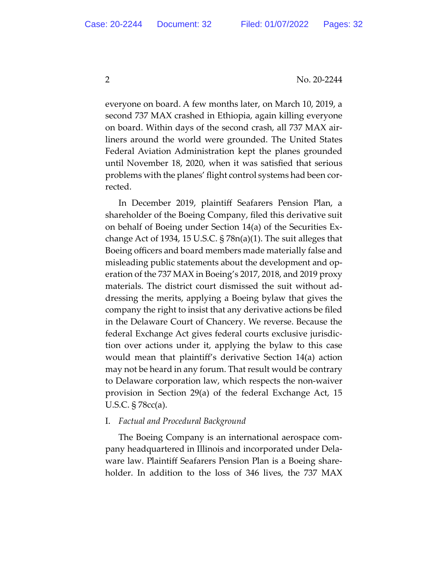everyone on board. A few months later, on March 10, 2019, a second 737 MAX crashed in Ethiopia, again killing everyone on board. Within days of the second crash, all 737 MAX airliners around the world were grounded. The United States Federal Aviation Administration kept the planes grounded until November 18, 2020, when it was satisfied that serious problems with the planes' flight control systems had been corrected.

In December 2019, plaintiff Seafarers Pension Plan, a shareholder of the Boeing Company, filed this derivative suit on behalf of Boeing under Section 14(a) of the Securities Exchange Act of 1934, 15 U.S.C. § 78n(a)(1). The suit alleges that Boeing officers and board members made materially false and misleading public statements about the development and operation of the 737 MAX in Boeing's 2017, 2018, and 2019 proxy materials. The district court dismissed the suit without addressing the merits, applying a Boeing bylaw that gives the company the right to insist that any derivative actions be filed in the Delaware Court of Chancery. We reverse. Because the federal Exchange Act gives federal courts exclusive jurisdiction over actions under it, applying the bylaw to this case would mean that plaintiff's derivative Section 14(a) action may not be heard in any forum. That result would be contrary to Delaware corporation law, which respects the non-waiver provision in Section 29(a) of the federal Exchange Act, 15 U.S.C. § 78cc(a).

#### I. *Factual and Procedural Background*

The Boeing Company is an international aerospace company headquartered in Illinois and incorporated under Delaware law. Plaintiff Seafarers Pension Plan is a Boeing shareholder. In addition to the loss of 346 lives, the 737 MAX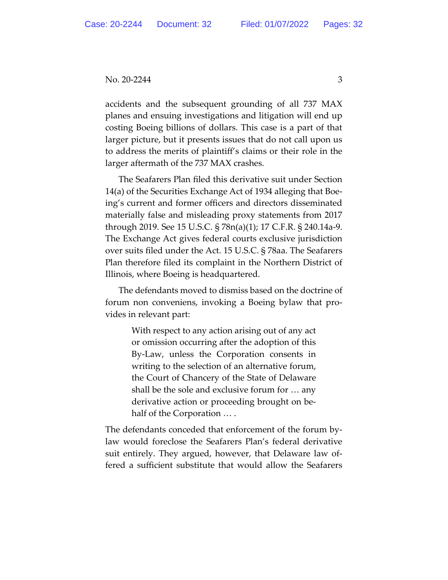accidents and the subsequent grounding of all 737 MAX planes and ensuing investigations and litigation will end up costing Boeing billions of dollars. This case is a part of that larger picture, but it presents issues that do not call upon us to address the merits of plaintiff's claims or their role in the larger aftermath of the 737 MAX crashes.

The Seafarers Plan filed this derivative suit under Section 14(a) of the Securities Exchange Act of 1934 alleging that Boeing's current and former officers and directors disseminated materially false and misleading proxy statements from 2017 through 2019. See 15 U.S.C. § 78n(a)(1); 17 C.F.R. § 240.14a-9. The Exchange Act gives federal courts exclusive jurisdiction over suits filed under the Act. 15 U.S.C. § 78aa. The Seafarers Plan therefore filed its complaint in the Northern District of Illinois, where Boeing is headquartered.

The defendants moved to dismiss based on the doctrine of forum non conveniens, invoking a Boeing bylaw that provides in relevant part:

> With respect to any action arising out of any act or omission occurring after the adoption of this By-Law, unless the Corporation consents in writing to the selection of an alternative forum, the Court of Chancery of the State of Delaware shall be the sole and exclusive forum for … any derivative action or proceeding brought on behalf of the Corporation … .

The defendants conceded that enforcement of the forum bylaw would foreclose the Seafarers Plan's federal derivative suit entirely. They argued, however, that Delaware law offered a sufficient substitute that would allow the Seafarers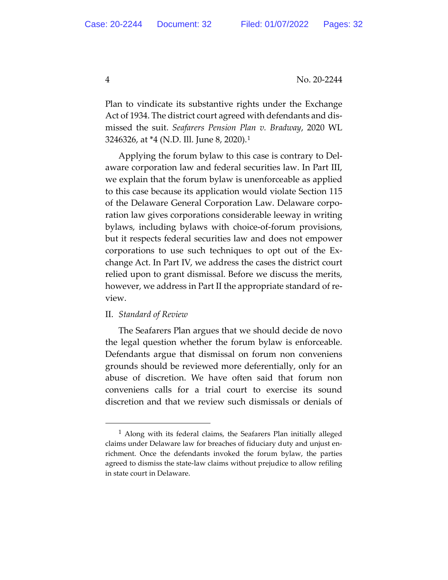Plan to vindicate its substantive rights under the Exchange Act of 1934. The district court agreed with defendants and dismissed the suit. *Seafarers Pension Plan v. Bradway*, 2020 WL 3246326, at \*4 (N.D. Ill. June 8, 2020).1

Applying the forum bylaw to this case is contrary to Delaware corporation law and federal securities law. In Part III, we explain that the forum bylaw is unenforceable as applied to this case because its application would violate Section 115 of the Delaware General Corporation Law. Delaware corporation law gives corporations considerable leeway in writing bylaws, including bylaws with choice-of-forum provisions, but it respects federal securities law and does not empower corporations to use such techniques to opt out of the Exchange Act. In Part IV, we address the cases the district court relied upon to grant dismissal. Before we discuss the merits, however, we address in Part II the appropriate standard of review.

#### II. *Standard of Review*

The Seafarers Plan argues that we should decide de novo the legal question whether the forum bylaw is enforceable. Defendants argue that dismissal on forum non conveniens grounds should be reviewed more deferentially, only for an abuse of discretion. We have often said that forum non conveniens calls for a trial court to exercise its sound discretion and that we review such dismissals or denials of

<sup>&</sup>lt;sup>1</sup> Along with its federal claims, the Seafarers Plan initially alleged claims under Delaware law for breaches of fiduciary duty and unjust enrichment. Once the defendants invoked the forum bylaw, the parties agreed to dismiss the state-law claims without prejudice to allow refiling in state court in Delaware.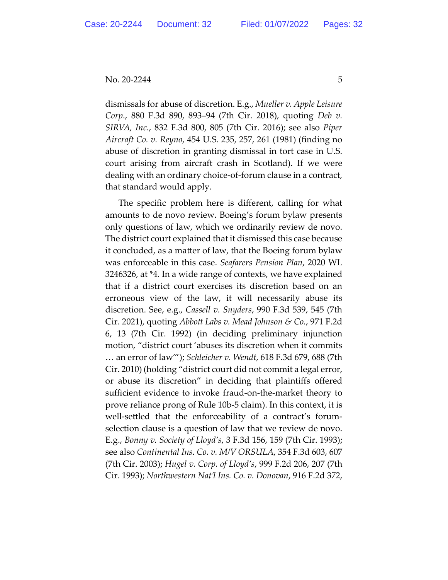#### $\text{No. } 20 - 2244$  5

dismissals for abuse of discretion. E.g., *Mueller v. Apple Leisure Corp*., 880 F.3d 890, 893–94 (7th Cir. 2018), quoting *Deb v. SIRVA, Inc.*, 832 F.3d 800, 805 (7th Cir. 2016); see also *Piper Aircraft Co. v. Reyno*, 454 U.S. 235, 257, 261 (1981) (finding no abuse of discretion in granting dismissal in tort case in U.S. court arising from aircraft crash in Scotland). If we were dealing with an ordinary choice-of-forum clause in a contract, that standard would apply.

The specific problem here is different, calling for what amounts to de novo review. Boeing's forum bylaw presents only questions of law, which we ordinarily review de novo. The district court explained that it dismissed this case because it concluded, as a matter of law, that the Boeing forum bylaw was enforceable in this case. *Seafarers Pension Plan*, 2020 WL 3246326, at \*4. In a wide range of contexts, we have explained that if a district court exercises its discretion based on an erroneous view of the law, it will necessarily abuse its discretion. See, e.g., *Cassell v. Snyders*, 990 F.3d 539, 545 (7th Cir. 2021), quoting *Abbott Labs v. Mead Johnson & Co.*, 971 F.2d 6, 13 (7th Cir. 1992) (in deciding preliminary injunction motion, "district court 'abuses its discretion when it commits … an error of law'"); *Schleicher v. Wendt*, 618 F.3d 679, 688 (7th Cir. 2010) (holding "district court did not commit a legal error, or abuse its discretion" in deciding that plaintiffs offered sufficient evidence to invoke fraud-on-the-market theory to prove reliance prong of Rule 10b-5 claim). In this context, it is well-settled that the enforceability of a contract's forumselection clause is a question of law that we review de novo. E.g., *Bonny v. Society of Lloyd's*, 3 F.3d 156, 159 (7th Cir. 1993); see also *Continental Ins. Co. v. M/V ORSULA*, 354 F.3d 603, 607 (7th Cir. 2003); *Hugel v. Corp. of Lloyd's*, 999 F.2d 206, 207 (7th Cir. 1993); *Northwestern Nat'l Ins. Co. v. Donovan*, 916 F.2d 372,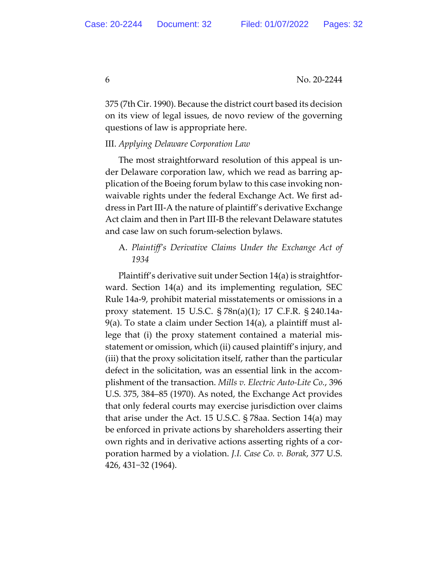375 (7th Cir. 1990). Because the district court based its decision on its view of legal issues, de novo review of the governing questions of law is appropriate here.

#### III. *Applying Delaware Corporation Law*

The most straightforward resolution of this appeal is under Delaware corporation law, which we read as barring application of the Boeing forum bylaw to this case invoking nonwaivable rights under the federal Exchange Act. We first address in Part III-A the nature of plaintiff's derivative Exchange Act claim and then in Part III-B the relevant Delaware statutes and case law on such forum-selection bylaws.

## A. *Plaintiff's Derivative Claims Under the Exchange Act of 1934*

Plaintiff's derivative suit under Section 14(a) is straightforward. Section 14(a) and its implementing regulation, SEC Rule 14a-9, prohibit material misstatements or omissions in a proxy statement. 15 U.S.C. § 78n(a)(1); 17 C.F.R. § 240.14a-9(a). To state a claim under Section 14(a), a plaintiff must allege that (i) the proxy statement contained a material misstatement or omission, which (ii) caused plaintiff's injury, and (iii) that the proxy solicitation itself, rather than the particular defect in the solicitation, was an essential link in the accomplishment of the transaction. *Mills v. Electric Auto-Lite Co.*, 396 U.S. 375, 384–85 (1970). As noted, the Exchange Act provides that only federal courts may exercise jurisdiction over claims that arise under the Act. 15 U.S.C. § 78aa. Section 14(a) may be enforced in private actions by shareholders asserting their own rights and in derivative actions asserting rights of a corporation harmed by a violation. *J.I. Case Co. v. Borak*, 377 U.S. 426, 431−32 (1964).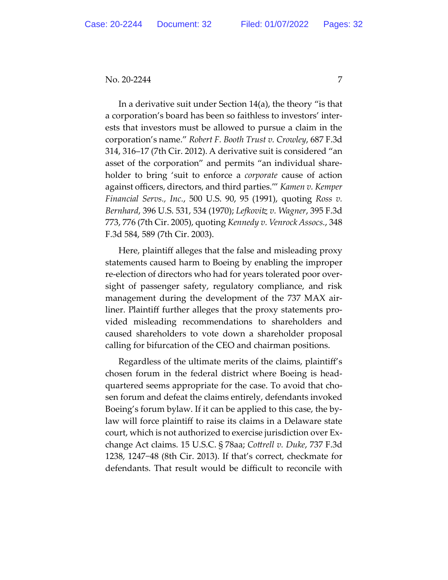In a derivative suit under Section 14(a), the theory "is that a corporation's board has been so faithless to investors' interests that investors must be allowed to pursue a claim in the corporation's name." *Robert F. Booth Trust v. Crowley*, 687 F.3d 314, 316–17 (7th Cir. 2012). A derivative suit is considered "an asset of the corporation" and permits "an individual shareholder to bring 'suit to enforce a *corporate* cause of action against officers, directors, and third parties.'" *Kamen v. Kemper Financial Servs., Inc.*, 500 U.S. 90, 95 (1991), quoting *Ross v. Bernhard*, 396 U.S. 531, 534 (1970); *Lefkovitz v. Wagner*, 395 F.3d 773, 776 (7th Cir. 2005), quoting *Kennedy v. Venrock Assocs.*, 348 F.3d 584, 589 (7th Cir. 2003).

Here, plaintiff alleges that the false and misleading proxy statements caused harm to Boeing by enabling the improper re-election of directors who had for years tolerated poor oversight of passenger safety, regulatory compliance, and risk management during the development of the 737 MAX airliner. Plaintiff further alleges that the proxy statements provided misleading recommendations to shareholders and caused shareholders to vote down a shareholder proposal calling for bifurcation of the CEO and chairman positions.

Regardless of the ultimate merits of the claims, plaintiff's chosen forum in the federal district where Boeing is headquartered seems appropriate for the case. To avoid that chosen forum and defeat the claims entirely, defendants invoked Boeing's forum bylaw. If it can be applied to this case, the bylaw will force plaintiff to raise its claims in a Delaware state court, which is not authorized to exercise jurisdiction over Exchange Act claims. 15 U.S.C. § 78aa; *Cottrell v. Duke*, 737 F.3d 1238, 1247−48 (8th Cir. 2013). If that's correct, checkmate for defendants. That result would be difficult to reconcile with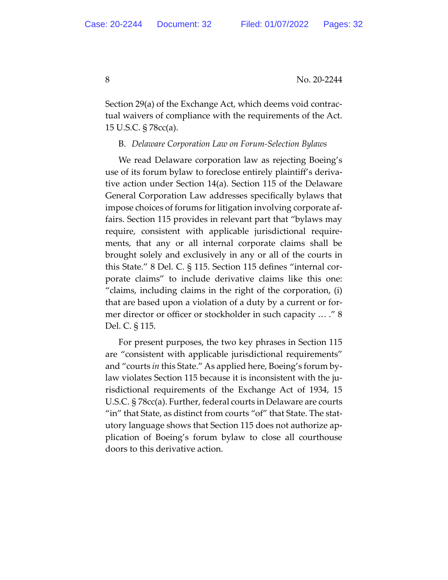Section 29(a) of the Exchange Act, which deems void contractual waivers of compliance with the requirements of the Act. 15 U.S.C. § 78cc(a).

### B. *Delaware Corporation Law on Forum-Selection Bylaws*

We read Delaware corporation law as rejecting Boeing's use of its forum bylaw to foreclose entirely plaintiff's derivative action under Section 14(a). Section 115 of the Delaware General Corporation Law addresses specifically bylaws that impose choices of forums for litigation involving corporate affairs. Section 115 provides in relevant part that "bylaws may require, consistent with applicable jurisdictional requirements, that any or all internal corporate claims shall be brought solely and exclusively in any or all of the courts in this State." 8 Del. C. § 115. Section 115 defines "internal corporate claims" to include derivative claims like this one: "claims, including claims in the right of the corporation, (i) that are based upon a violation of a duty by a current or former director or officer or stockholder in such capacity … ." 8 Del. C. § 115.

For present purposes, the two key phrases in Section 115 are "consistent with applicable jurisdictional requirements" and "courts *in* this State." As applied here, Boeing's forum bylaw violates Section 115 because it is inconsistent with the jurisdictional requirements of the Exchange Act of 1934, 15 U.S.C. § 78cc(a). Further, federal courts in Delaware are courts "in" that State, as distinct from courts "of" that State. The statutory language shows that Section 115 does not authorize application of Boeing's forum bylaw to close all courthouse doors to this derivative action.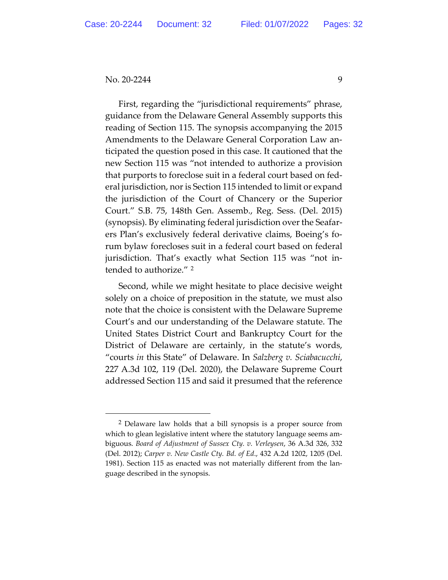First, regarding the "jurisdictional requirements" phrase, guidance from the Delaware General Assembly supports this reading of Section 115. The synopsis accompanying the 2015 Amendments to the Delaware General Corporation Law anticipated the question posed in this case. It cautioned that the new Section 115 was "not intended to authorize a provision that purports to foreclose suit in a federal court based on federal jurisdiction, nor is Section 115 intended to limit or expand the jurisdiction of the Court of Chancery or the Superior Court." S.B. 75, 148th Gen. Assemb., Reg. Sess. (Del. 2015) (synopsis). By eliminating federal jurisdiction over the Seafarers Plan's exclusively federal derivative claims, Boeing's forum bylaw forecloses suit in a federal court based on federal jurisdiction. That's exactly what Section 115 was "not intended to authorize." 2

Second, while we might hesitate to place decisive weight solely on a choice of preposition in the statute, we must also note that the choice is consistent with the Delaware Supreme Court's and our understanding of the Delaware statute. The United States District Court and Bankruptcy Court for the District of Delaware are certainly, in the statute's words, "courts *in* this State" of Delaware. In *Salzberg v. Sciabacucchi*, 227 A.3d 102, 119 (Del. 2020), the Delaware Supreme Court addressed Section 115 and said it presumed that the reference

<sup>2</sup> Delaware law holds that a bill synopsis is a proper source from which to glean legislative intent where the statutory language seems ambiguous. *Board of Adjustment of Sussex Cty. v. Verleysen*, 36 A.3d 326, 332 (Del. 2012); *Carper v. New Castle Cty. Bd. of Ed*., 432 A.2d 1202, 1205 (Del. 1981). Section 115 as enacted was not materially different from the language described in the synopsis.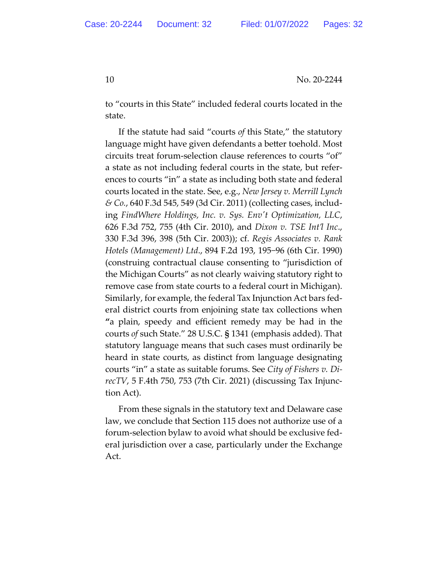to "courts in this State" included federal courts located in the state.

If the statute had said "courts *of* this State," the statutory language might have given defendants a better toehold. Most circuits treat forum-selection clause references to courts "of" a state as not including federal courts in the state, but references to courts "in" a state as including both state and federal courts located in the state. See, e.g., *New Jersey v. Merrill Lynch & Co.*, 640 F.3d 545, 549 (3d Cir. 2011) (collecting cases, including *FindWhere Holdings, Inc. v. Sys. Env't Optimization, LLC*, 626 F.3d 752, 755 (4th Cir. 2010), and *Dixon v. TSE Int'l Inc*., 330 F.3d 396, 398 (5th Cir. 2003)); cf. *Regis Associates v. Rank Hotels (Management) Ltd*., 894 F.2d 193, 195−96 (6th Cir. 1990) (construing contractual clause consenting to "jurisdiction of the Michigan Courts" as not clearly waiving statutory right to remove case from state courts to a federal court in Michigan). Similarly, for example, the federal Tax Injunction Act bars federal district courts from enjoining state tax collections when **"**a plain, speedy and efficient remedy may be had in the courts *of* such State." 28 U.S.C. **§** 1341 (emphasis added). That statutory language means that such cases must ordinarily be heard in state courts, as distinct from language designating courts "in" a state as suitable forums. See *City of Fishers v. DirecTV*, 5 F.4th 750, 753 (7th Cir. 2021) (discussing Tax Injunction Act).

From these signals in the statutory text and Delaware case law, we conclude that Section 115 does not authorize use of a forum-selection bylaw to avoid what should be exclusive federal jurisdiction over a case, particularly under the Exchange Act.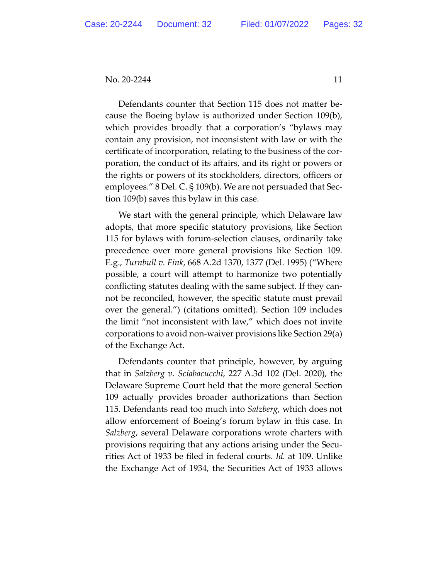Defendants counter that Section 115 does not matter because the Boeing bylaw is authorized under Section 109(b), which provides broadly that a corporation's "bylaws may contain any provision, not inconsistent with law or with the certificate of incorporation, relating to the business of the corporation, the conduct of its affairs, and its right or powers or the rights or powers of its stockholders, directors, officers or employees." 8 Del. C. § 109(b). We are not persuaded that Section 109(b) saves this bylaw in this case.

We start with the general principle, which Delaware law adopts, that more specific statutory provisions, like Section 115 for bylaws with forum-selection clauses, ordinarily take precedence over more general provisions like Section 109. E.g., *Turnbull v. Fink*, 668 A.2d 1370, 1377 (Del. 1995) ("Where possible, a court will attempt to harmonize two potentially conflicting statutes dealing with the same subject. If they cannot be reconciled, however, the specific statute must prevail over the general.") (citations omitted). Section 109 includes the limit "not inconsistent with law," which does not invite corporations to avoid non-waiver provisions like Section 29(a) of the Exchange Act.

Defendants counter that principle, however, by arguing that in *Salzberg v. Sciabacucchi*, 227 A.3d 102 (Del. 2020), the Delaware Supreme Court held that the more general Section 109 actually provides broader authorizations than Section 115. Defendants read too much into *Salzberg*, which does not allow enforcement of Boeing's forum bylaw in this case. In *Salzberg*, several Delaware corporations wrote charters with provisions requiring that any actions arising under the Securities Act of 1933 be filed in federal courts. *Id.* at 109. Unlike the Exchange Act of 1934, the Securities Act of 1933 allows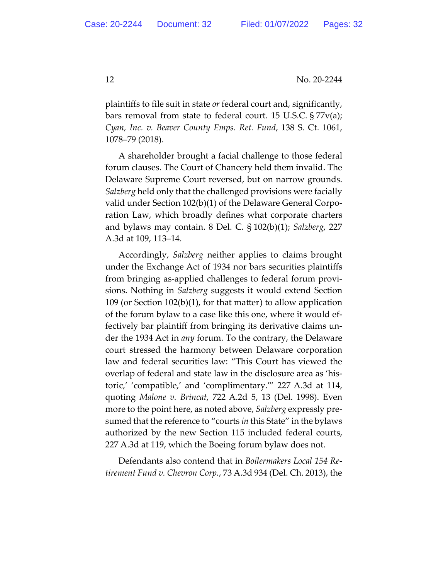plaintiffs to file suit in state *or* federal court and, significantly, bars removal from state to federal court. 15 U.S.C. § 77v(a); *Cyan, Inc. v. Beaver County Emps. Ret. Fund*, 138 S. Ct. 1061, 1078–79 (2018).

A shareholder brought a facial challenge to those federal forum clauses. The Court of Chancery held them invalid. The Delaware Supreme Court reversed, but on narrow grounds. *Salzberg* held only that the challenged provisions were facially valid under Section 102(b)(1) of the Delaware General Corporation Law, which broadly defines what corporate charters and bylaws may contain. 8 Del. C. § 102(b)(1); *Salzberg*, 227 A.3d at 109, 113–14.

Accordingly, *Salzberg* neither applies to claims brought under the Exchange Act of 1934 nor bars securities plaintiffs from bringing as-applied challenges to federal forum provisions. Nothing in *Salzberg* suggests it would extend Section 109 (or Section 102(b)(1), for that matter) to allow application of the forum bylaw to a case like this one, where it would effectively bar plaintiff from bringing its derivative claims under the 1934 Act in *any* forum. To the contrary, the Delaware court stressed the harmony between Delaware corporation law and federal securities law: "This Court has viewed the overlap of federal and state law in the disclosure area as 'historic,' 'compatible,' and 'complimentary.'" 227 A.3d at 114, quoting *Malone v. Brincat*, 722 A.2d 5, 13 (Del. 1998). Even more to the point here, as noted above, *Salzberg* expressly presumed that the reference to "courts *in* this State" in the bylaws authorized by the new Section 115 included federal courts, 227 A.3d at 119, which the Boeing forum bylaw does not.

Defendants also contend that in *Boilermakers Local 154 Retirement Fund v. Chevron Corp.*, 73 A.3d 934 (Del. Ch. 2013), the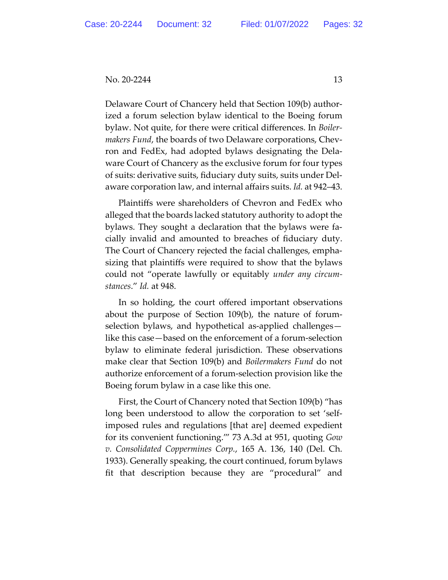Delaware Court of Chancery held that Section 109(b) authorized a forum selection bylaw identical to the Boeing forum bylaw. Not quite, for there were critical differences. In *Boilermakers Fund*, the boards of two Delaware corporations, Chevron and FedEx, had adopted bylaws designating the Delaware Court of Chancery as the exclusive forum for four types of suits: derivative suits, fiduciary duty suits, suits under Delaware corporation law, and internal affairs suits. *Id.* at 942–43.

Plaintiffs were shareholders of Chevron and FedEx who alleged that the boards lacked statutory authority to adopt the bylaws. They sought a declaration that the bylaws were facially invalid and amounted to breaches of fiduciary duty. The Court of Chancery rejected the facial challenges, emphasizing that plaintiffs were required to show that the bylaws could not "operate lawfully or equitably *under any circumstances*." *Id.* at 948.

In so holding, the court offered important observations about the purpose of Section 109(b), the nature of forumselection bylaws, and hypothetical as-applied challenges like this case—based on the enforcement of a forum-selection bylaw to eliminate federal jurisdiction. These observations make clear that Section 109(b) and *Boilermakers Fund* do not authorize enforcement of a forum-selection provision like the Boeing forum bylaw in a case like this one.

First, the Court of Chancery noted that Section 109(b) "has long been understood to allow the corporation to set 'selfimposed rules and regulations [that are] deemed expedient for its convenient functioning.'" 73 A.3d at 951, quoting *Gow v. Consolidated Coppermines Corp.*, 165 A. 136, 140 (Del. Ch. 1933). Generally speaking, the court continued, forum bylaws fit that description because they are "procedural" and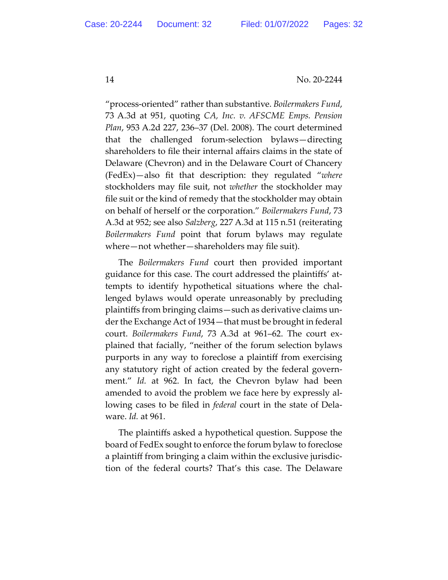"process-oriented" rather than substantive. *Boilermakers Fund*, 73 A.3d at 951, quoting *CA, Inc. v. AFSCME Emps. Pension Plan*, 953 A.2d 227, 236–37 (Del. 2008). The court determined that the challenged forum-selection bylaws—directing shareholders to file their internal affairs claims in the state of Delaware (Chevron) and in the Delaware Court of Chancery (FedEx)—also fit that description: they regulated "*where* stockholders may file suit, not *whether* the stockholder may file suit or the kind of remedy that the stockholder may obtain on behalf of herself or the corporation." *Boilermakers Fund*, 73 A.3d at 952; see also *Salzberg*, 227 A.3d at 115 n.51 (reiterating *Boilermakers Fund* point that forum bylaws may regulate where—not whether—shareholders may file suit).

The *Boilermakers Fund* court then provided important guidance for this case. The court addressed the plaintiffs' attempts to identify hypothetical situations where the challenged bylaws would operate unreasonably by precluding plaintiffs from bringing claims—such as derivative claims under the Exchange Act of 1934—that must be brought in federal court. *Boilermakers Fund*, 73 A.3d at 961–62. The court explained that facially, "neither of the forum selection bylaws purports in any way to foreclose a plaintiff from exercising any statutory right of action created by the federal government." *Id.* at 962. In fact, the Chevron bylaw had been amended to avoid the problem we face here by expressly allowing cases to be filed in *federal* court in the state of Delaware. *Id.* at 961.

The plaintiffs asked a hypothetical question. Suppose the board of FedEx sought to enforce the forum bylaw to foreclose a plaintiff from bringing a claim within the exclusive jurisdiction of the federal courts? That's this case. The Delaware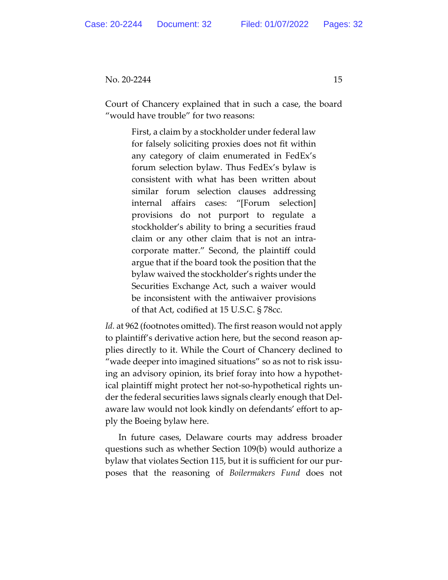Court of Chancery explained that in such a case, the board "would have trouble" for two reasons:

> First, a claim by a stockholder under federal law for falsely soliciting proxies does not fit within any category of claim enumerated in FedEx's forum selection bylaw. Thus FedEx's bylaw is consistent with what has been written about similar forum selection clauses addressing internal affairs cases: "[Forum selection] provisions do not purport to regulate a stockholder's ability to bring a securities fraud claim or any other claim that is not an intracorporate matter." Second, the plaintiff could argue that if the board took the position that the bylaw waived the stockholder's rights under the Securities Exchange Act, such a waiver would be inconsistent with the antiwaiver provisions of that Act, codified at 15 U.S.C. § 78cc.

*Id.* at 962 (footnotes omitted). The first reason would not apply to plaintiff's derivative action here, but the second reason applies directly to it. While the Court of Chancery declined to "wade deeper into imagined situations" so as not to risk issuing an advisory opinion, its brief foray into how a hypothetical plaintiff might protect her not-so-hypothetical rights under the federal securities laws signals clearly enough that Delaware law would not look kindly on defendants' effort to apply the Boeing bylaw here.

In future cases, Delaware courts may address broader questions such as whether Section 109(b) would authorize a bylaw that violates Section 115, but it is sufficient for our purposes that the reasoning of *Boilermakers Fund* does not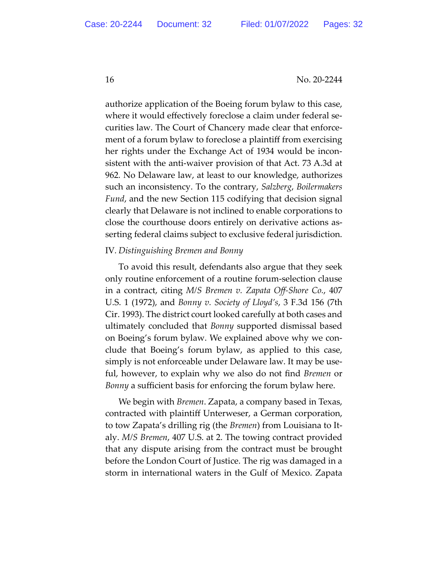authorize application of the Boeing forum bylaw to this case, where it would effectively foreclose a claim under federal securities law. The Court of Chancery made clear that enforcement of a forum bylaw to foreclose a plaintiff from exercising her rights under the Exchange Act of 1934 would be inconsistent with the anti-waiver provision of that Act. 73 A.3d at 962*.* No Delaware law, at least to our knowledge, authorizes such an inconsistency. To the contrary, *Salzberg*, *Boilermakers Fund*, and the new Section 115 codifying that decision signal clearly that Delaware is not inclined to enable corporations to close the courthouse doors entirely on derivative actions asserting federal claims subject to exclusive federal jurisdiction.

#### IV*. Distinguishing Bremen and Bonny*

To avoid this result, defendants also argue that they seek only routine enforcement of a routine forum-selection clause in a contract, citing *M/S Bremen v. Zapata Off-Shore Co.*, 407 U.S. 1 (1972), and *Bonny v. Society of Lloyd's*, 3 F.3d 156 (7th Cir. 1993). The district court looked carefully at both cases and ultimately concluded that *Bonny* supported dismissal based on Boeing's forum bylaw. We explained above why we conclude that Boeing's forum bylaw, as applied to this case, simply is not enforceable under Delaware law. It may be useful, however, to explain why we also do not find *Bremen* or *Bonny* a sufficient basis for enforcing the forum bylaw here.

We begin with *Bremen*. Zapata, a company based in Texas, contracted with plaintiff Unterweser, a German corporation, to tow Zapata's drilling rig (the *Bremen*) from Louisiana to Italy. *M/S Bremen*, 407 U.S. at 2. The towing contract provided that any dispute arising from the contract must be brought before the London Court of Justice. The rig was damaged in a storm in international waters in the Gulf of Mexico. Zapata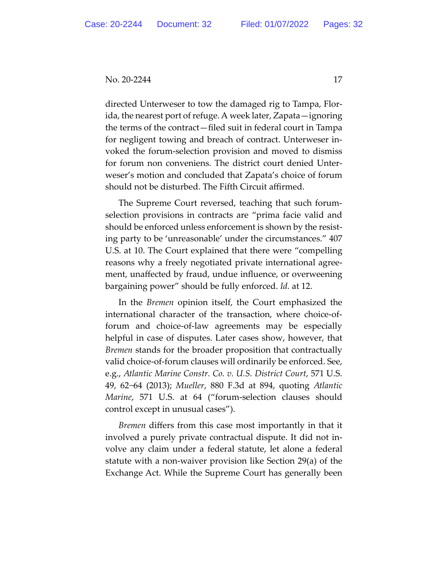directed Unterweser to tow the damaged rig to Tampa, Florida, the nearest port of refuge. A week later, Zapata—ignoring the terms of the contract—filed suit in federal court in Tampa for negligent towing and breach of contract. Unterweser invoked the forum-selection provision and moved to dismiss for forum non conveniens. The district court denied Unterweser's motion and concluded that Zapata's choice of forum should not be disturbed. The Fifth Circuit affirmed.

The Supreme Court reversed, teaching that such forumselection provisions in contracts are "prima facie valid and should be enforced unless enforcement is shown by the resisting party to be 'unreasonable' under the circumstances." 407 U.S. at 10. The Court explained that there were "compelling reasons why a freely negotiated private international agreement, unaffected by fraud, undue influence, or overweening bargaining power" should be fully enforced. *Id.* at 12.

In the *Bremen* opinion itself, the Court emphasized the international character of the transaction, where choice-offorum and choice-of-law agreements may be especially helpful in case of disputes. Later cases show, however, that *Bremen* stands for the broader proposition that contractually valid choice-of-forum clauses will ordinarily be enforced. See, e.g., *Atlantic Marine Constr. Co. v. U.S. District Court*, 571 U.S. 49, 62−64 (2013); *Mueller*, 880 F.3d at 894, quoting *Atlantic Marine*, 571 U.S. at 64 ("forum-selection clauses should control except in unusual cases").

*Bremen* differs from this case most importantly in that it involved a purely private contractual dispute. It did not involve any claim under a federal statute, let alone a federal statute with a non-waiver provision like Section 29(a) of the Exchange Act. While the Supreme Court has generally been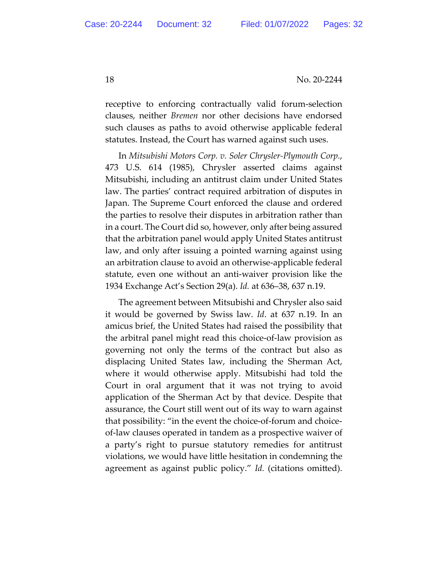receptive to enforcing contractually valid forum-selection clauses, neither *Bremen* nor other decisions have endorsed such clauses as paths to avoid otherwise applicable federal statutes. Instead, the Court has warned against such uses.

In *Mitsubishi Motors Corp. v. Soler Chrysler-Plymouth Corp.*, 473 U.S. 614 (1985), Chrysler asserted claims against Mitsubishi, including an antitrust claim under United States law. The parties' contract required arbitration of disputes in Japan. The Supreme Court enforced the clause and ordered the parties to resolve their disputes in arbitration rather than in a court. The Court did so, however, only after being assured that the arbitration panel would apply United States antitrust law, and only after issuing a pointed warning against using an arbitration clause to avoid an otherwise-applicable federal statute, even one without an anti-waiver provision like the 1934 Exchange Act's Section 29(a). *Id.* at 636–38, 637 n.19.

The agreement between Mitsubishi and Chrysler also said it would be governed by Swiss law. *Id*. at 637 n.19. In an amicus brief, the United States had raised the possibility that the arbitral panel might read this choice-of-law provision as governing not only the terms of the contract but also as displacing United States law, including the Sherman Act, where it would otherwise apply. Mitsubishi had told the Court in oral argument that it was not trying to avoid application of the Sherman Act by that device. Despite that assurance, the Court still went out of its way to warn against that possibility: "in the event the choice-of-forum and choiceof-law clauses operated in tandem as a prospective waiver of a party's right to pursue statutory remedies for antitrust violations, we would have little hesitation in condemning the agreement as against public policy." *Id.* (citations omitted).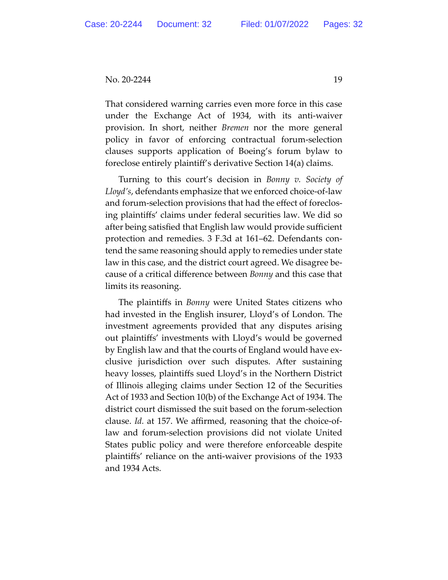That considered warning carries even more force in this case under the Exchange Act of 1934, with its anti-waiver provision. In short, neither *Bremen* nor the more general policy in favor of enforcing contractual forum-selection clauses supports application of Boeing's forum bylaw to foreclose entirely plaintiff's derivative Section 14(a) claims.

Turning to this court's decision in *Bonny v. Society of Lloyd's*, defendants emphasize that we enforced choice-of-law and forum-selection provisions that had the effect of foreclosing plaintiffs' claims under federal securities law. We did so after being satisfied that English law would provide sufficient protection and remedies. 3 F.3d at 161–62. Defendants contend the same reasoning should apply to remedies under state law in this case, and the district court agreed. We disagree because of a critical difference between *Bonny* and this case that limits its reasoning.

The plaintiffs in *Bonny* were United States citizens who had invested in the English insurer, Lloyd's of London. The investment agreements provided that any disputes arising out plaintiffs' investments with Lloyd's would be governed by English law and that the courts of England would have exclusive jurisdiction over such disputes. After sustaining heavy losses, plaintiffs sued Lloyd's in the Northern District of Illinois alleging claims under Section 12 of the Securities Act of 1933 and Section 10(b) of the Exchange Act of 1934. The district court dismissed the suit based on the forum-selection clause. *Id.* at 157. We affirmed, reasoning that the choice-oflaw and forum-selection provisions did not violate United States public policy and were therefore enforceable despite plaintiffs' reliance on the anti-waiver provisions of the 1933 and 1934 Acts.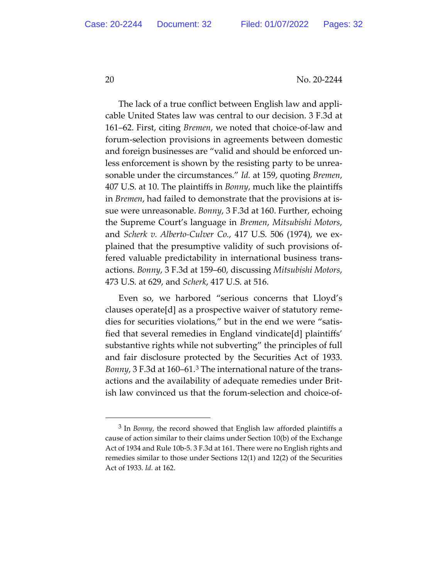The lack of a true conflict between English law and applicable United States law was central to our decision. 3 F.3d at 161–62. First, citing *Bremen*, we noted that choice-of-law and forum-selection provisions in agreements between domestic and foreign businesses are "valid and should be enforced unless enforcement is shown by the resisting party to be unreasonable under the circumstances." *Id.* at 159, quoting *Bremen*, 407 U.S. at 10. The plaintiffs in *Bonny*, much like the plaintiffs in *Bremen*, had failed to demonstrate that the provisions at issue were unreasonable. *Bonny*, 3 F.3d at 160. Further, echoing the Supreme Court's language in *Bremen*, *Mitsubishi Motors*, and *Scherk v. Alberto-Culver Co.*, 417 U.S. 506 (1974), we explained that the presumptive validity of such provisions offered valuable predictability in international business transactions. *Bonny*, 3 F.3d at 159–60, discussing *Mitsubishi Motors*, 473 U.S. at 629, and *Scherk*, 417 U.S. at 516.

Even so, we harbored "serious concerns that Lloyd's clauses operate[d] as a prospective waiver of statutory remedies for securities violations," but in the end we were "satisfied that several remedies in England vindicate[d] plaintiffs' substantive rights while not subverting" the principles of full and fair disclosure protected by the Securities Act of 1933. *Bonny*, 3 F.3d at 160–61.3 The international nature of the transactions and the availability of adequate remedies under British law convinced us that the forum-selection and choice-of-

<sup>3</sup> In *Bonny*, the record showed that English law afforded plaintiffs a cause of action similar to their claims under Section 10(b) of the Exchange Act of 1934 and Rule 10b-5. 3 F.3d at 161. There were no English rights and remedies similar to those under Sections 12(1) and 12(2) of the Securities Act of 1933. *Id.* at 162.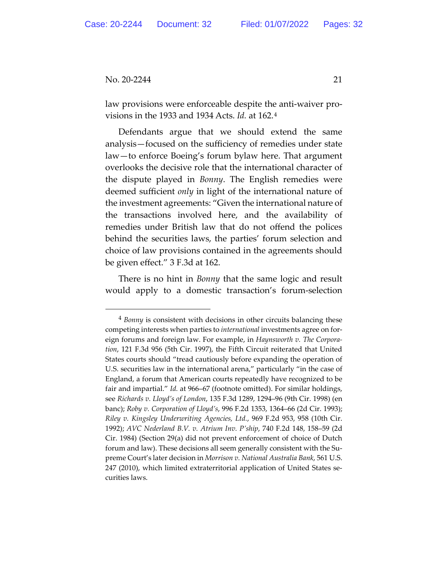law provisions were enforceable despite the anti-waiver provisions in the 1933 and 1934 Acts. *Id.* at 162.4

Defendants argue that we should extend the same analysis—focused on the sufficiency of remedies under state law—to enforce Boeing's forum bylaw here. That argument overlooks the decisive role that the international character of the dispute played in *Bonny*. The English remedies were deemed sufficient *only* in light of the international nature of the investment agreements: "Given the international nature of the transactions involved here, and the availability of remedies under British law that do not offend the polices behind the securities laws, the parties' forum selection and choice of law provisions contained in the agreements should be given effect." 3 F.3d at 162.

There is no hint in *Bonny* that the same logic and result would apply to a domestic transaction's forum-selection

<sup>4</sup> *Bonny* is consistent with decisions in other circuits balancing these competing interests when parties to *international* investments agree on foreign forums and foreign law. For example, in *Haynsworth v. The Corporation*, 121 F.3d 956 (5th Cir. 1997), the Fifth Circuit reiterated that United States courts should "tread cautiously before expanding the operation of U.S. securities law in the international arena," particularly "in the case of England, a forum that American courts repeatedly have recognized to be fair and impartial." *Id.* at 966–67 (footnote omitted). For similar holdings, see *Richards v. Lloyd's of London*, 135 F.3d 1289, 1294–96 (9th Cir. 1998) (en banc); *Roby v. Corporation of Lloyd's*, 996 F.2d 1353, 1364–66 (2d Cir. 1993); *Riley v. Kingsley Underwriting Agencies, Ltd.*, 969 F.2d 953, 958 (10th Cir. 1992); *AVC Nederland B.V. v. Atrium Inv. P'ship*, 740 F.2d 148, 158–59 (2d Cir. 1984) (Section 29(a) did not prevent enforcement of choice of Dutch forum and law). These decisions all seem generally consistent with the Supreme Court's later decision in *Morrison v. National Australia Bank*, 561 U.S. 247 (2010), which limited extraterritorial application of United States securities laws.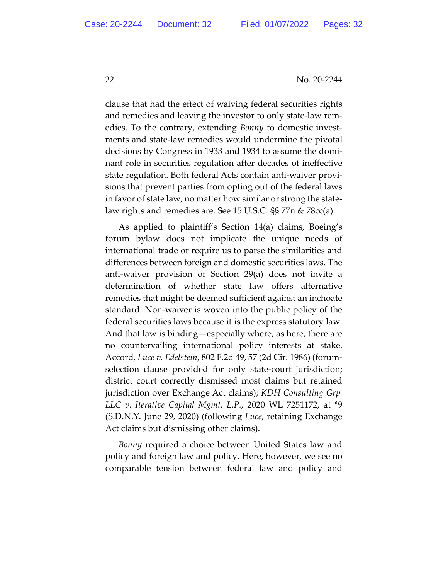clause that had the effect of waiving federal securities rights and remedies and leaving the investor to only state-law remedies. To the contrary, extending *Bonny* to domestic investments and state-law remedies would undermine the pivotal decisions by Congress in 1933 and 1934 to assume the dominant role in securities regulation after decades of ineffective state regulation. Both federal Acts contain anti-waiver provisions that prevent parties from opting out of the federal laws in favor of state law, no matter how similar or strong the statelaw rights and remedies are. See 15 U.S.C. §§ 77n & 78cc(a).

As applied to plaintiff's Section 14(a) claims, Boeing's forum bylaw does not implicate the unique needs of international trade or require us to parse the similarities and differences between foreign and domestic securities laws. The anti-waiver provision of Section 29(a) does not invite a determination of whether state law offers alternative remedies that might be deemed sufficient against an inchoate standard. Non-waiver is woven into the public policy of the federal securities laws because it is the express statutory law. And that law is binding—especially where, as here, there are no countervailing international policy interests at stake. Accord, *Luce v. Edelstein*, 802 F.2d 49, 57 (2d Cir. 1986) (forumselection clause provided for only state-court jurisdiction; district court correctly dismissed most claims but retained jurisdiction over Exchange Act claims); *KDH Consulting Grp. LLC v. Iterative Capital Mgmt. L.P.*, 2020 WL 7251172, at \*9 (S.D.N.Y. June 29, 2020) (following *Luce*, retaining Exchange Act claims but dismissing other claims).

*Bonny* required a choice between United States law and policy and foreign law and policy. Here, however, we see no comparable tension between federal law and policy and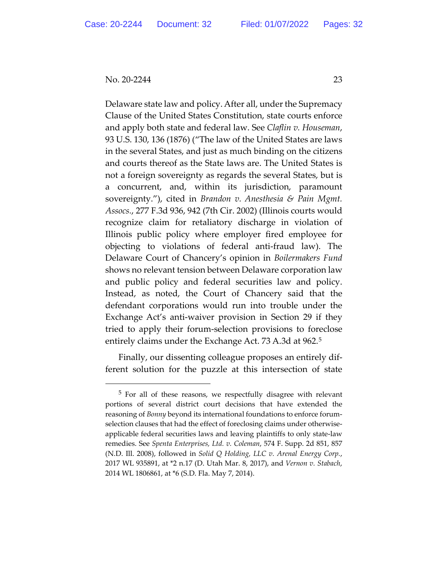Delaware state law and policy. After all, under the Supremacy Clause of the United States Constitution, state courts enforce and apply both state and federal law. See *Claflin v. Houseman*, 93 U.S. 130, 136 (1876) ("The law of the United States are laws in the several States, and just as much binding on the citizens and courts thereof as the State laws are. The United States is not a foreign sovereignty as regards the several States, but is a concurrent, and, within its jurisdiction, paramount sovereignty."), cited in *Brandon v. Anesthesia & Pain Mgmt. Assocs.*, 277 F.3d 936, 942 (7th Cir. 2002) (Illinois courts would recognize claim for retaliatory discharge in violation of Illinois public policy where employer fired employee for objecting to violations of federal anti-fraud law). The Delaware Court of Chancery's opinion in *Boilermakers Fund* shows no relevant tension between Delaware corporation law and public policy and federal securities law and policy. Instead, as noted, the Court of Chancery said that the defendant corporations would run into trouble under the Exchange Act's anti-waiver provision in Section 29 if they tried to apply their forum-selection provisions to foreclose entirely claims under the Exchange Act. 73 A.3d at 962.5

Finally, our dissenting colleague proposes an entirely different solution for the puzzle at this intersection of state

<sup>5</sup> For all of these reasons, we respectfully disagree with relevant portions of several district court decisions that have extended the reasoning of *Bonny* beyond its international foundations to enforce forumselection clauses that had the effect of foreclosing claims under otherwiseapplicable federal securities laws and leaving plaintiffs to only state-law remedies. See *Spenta Enterprises, Ltd. v. Coleman*, 574 F. Supp. 2d 851, 857 (N.D. Ill. 2008), followed in *Solid Q Holding, LLC v. Arenal Energy Corp.*, 2017 WL 935891, at \*2 n.17 (D. Utah Mar. 8, 2017), and *Vernon v. Stabach*, 2014 WL 1806861, at \*6 (S.D. Fla. May 7, 2014).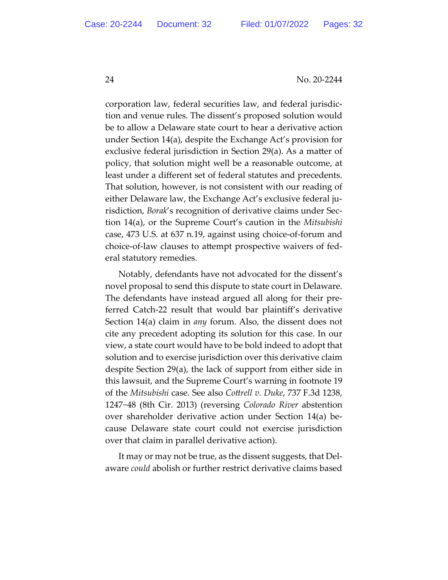corporation law, federal securities law, and federal jurisdiction and venue rules. The dissent's proposed solution would be to allow a Delaware state court to hear a derivative action under Section 14(a), despite the Exchange Act's provision for exclusive federal jurisdiction in Section 29(a). As a matter of policy, that solution might well be a reasonable outcome, at least under a different set of federal statutes and precedents. That solution, however, is not consistent with our reading of either Delaware law, the Exchange Act's exclusive federal jurisdiction, *Borak*'s recognition of derivative claims under Section 14(a), or the Supreme Court's caution in the *Mitsubishi* case, 473 U.S. at 637 n.19, against using choice-of-forum and choice-of-law clauses to attempt prospective waivers of federal statutory remedies.

Notably, defendants have not advocated for the dissent's novel proposal to send this dispute to state court in Delaware. The defendants have instead argued all along for their preferred Catch-22 result that would bar plaintiff's derivative Section 14(a) claim in *any* forum. Also, the dissent does not cite any precedent adopting its solution for this case. In our view, a state court would have to be bold indeed to adopt that solution and to exercise jurisdiction over this derivative claim despite Section 29(a), the lack of support from either side in this lawsuit, and the Supreme Court's warning in footnote 19 of the *Mitsubishi* case. See also *Cottrell v. Duke*, 737 F.3d 1238, 1247−48 (8th Cir. 2013) (reversing *Colorado River* abstention over shareholder derivative action under Section 14(a) because Delaware state court could not exercise jurisdiction over that claim in parallel derivative action).

It may or may not be true, as the dissent suggests, that Delaware *could* abolish or further restrict derivative claims based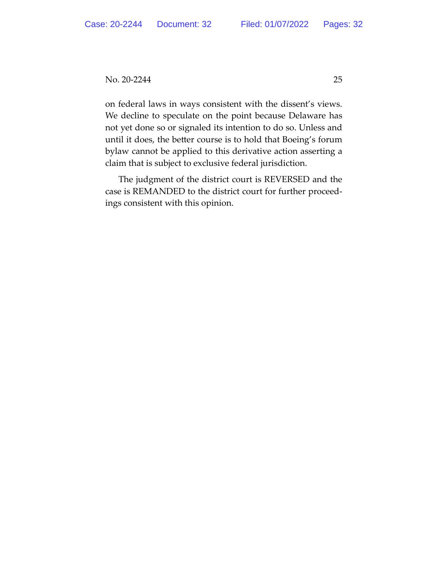on federal laws in ways consistent with the dissent's views. We decline to speculate on the point because Delaware has not yet done so or signaled its intention to do so. Unless and until it does, the better course is to hold that Boeing's forum bylaw cannot be applied to this derivative action asserting a claim that is subject to exclusive federal jurisdiction.

The judgment of the district court is REVERSED and the case is REMANDED to the district court for further proceedings consistent with this opinion.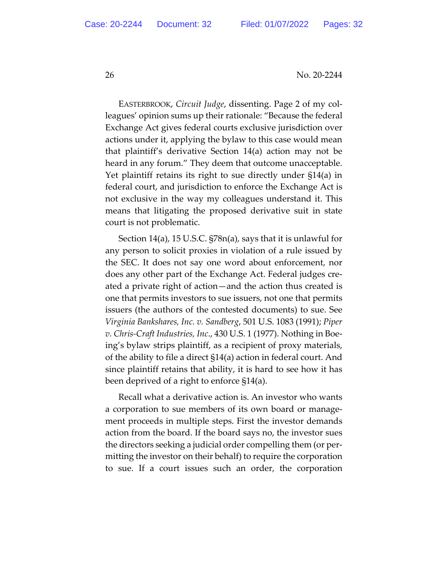EASTERBROOK, *Circuit Judge*, dissenting. Page 2 of my colleagues' opinion sums up their rationale: "Because the federal Exchange Act gives federal courts exclusive jurisdiction over actions under it, applying the bylaw to this case would mean that plaintiff's derivative Section 14(a) action may not be heard in any forum." They deem that outcome unacceptable. Yet plaintiff retains its right to sue directly under §14(a) in federal court, and jurisdiction to enforce the Exchange Act is not exclusive in the way my colleagues understand it. This means that litigating the proposed derivative suit in state court is not problematic.

Section 14(a), 15 U.S.C. §78n(a), says that it is unlawful for any person to solicit proxies in violation of a rule issued by the SEC. It does not say one word about enforcement, nor does any other part of the Exchange Act. Federal judges created a private right of action—and the action thus created is one that permits investors to sue issuers, not one that permits issuers (the authors of the contested documents) to sue. See *Virginia Bankshares, Inc. v. Sandberg*, 501 U.S. 1083 (1991); *Piper v. Chris-Craft Industries, Inc*., 430 U.S. 1 (1977). Nothing in Boeing's bylaw strips plaintiff, as a recipient of proxy materials, of the ability to file a direct §14(a) action in federal court. And since plaintiff retains that ability, it is hard to see how it has been deprived of a right to enforce §14(a).

Recall what a derivative action is. An investor who wants a corporation to sue members of its own board or management proceeds in multiple steps. First the investor demands action from the board. If the board says no, the investor sues the directors seeking a judicial order compelling them (or permitting the investor on their behalf) to require the corporation to sue. If a court issues such an order, the corporation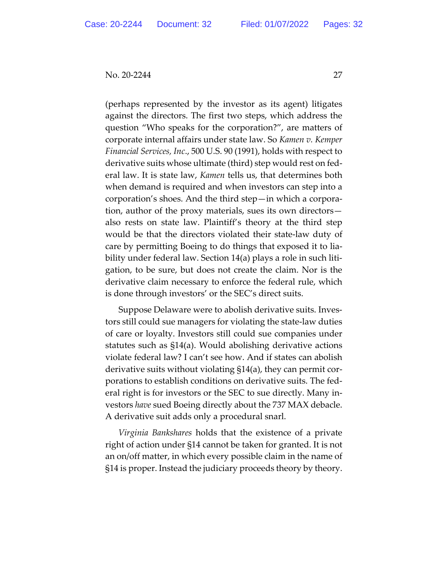(perhaps represented by the investor as its agent) litigates against the directors. The first two steps, which address the question "Who speaks for the corporation?", are matters of corporate internal affairs under state law. So *Kamen v. Kemper Financial Services, Inc*., 500 U.S. 90 (1991), holds with respect to derivative suits whose ultimate (third) step would rest on federal law. It is state law, *Kamen* tells us, that determines both when demand is required and when investors can step into a corporation's shoes. And the third step—in which a corporation, author of the proxy materials, sues its own directors also rests on state law. Plaintiff's theory at the third step would be that the directors violated their state-law duty of care by permitting Boeing to do things that exposed it to liability under federal law. Section 14(a) plays a role in such litigation, to be sure, but does not create the claim. Nor is the derivative claim necessary to enforce the federal rule, which is done through investors' or the SEC's direct suits.

Suppose Delaware were to abolish derivative suits. Investors still could sue managers for violating the state-law duties of care or loyalty. Investors still could sue companies under statutes such as §14(a). Would abolishing derivative actions violate federal law? I can't see how. And if states can abolish derivative suits without violating §14(a), they can permit corporations to establish conditions on derivative suits. The federal right is for investors or the SEC to sue directly. Many investors *have* sued Boeing directly about the 737 MAX debacle. A derivative suit adds only a procedural snarl.

*Virginia Bankshares* holds that the existence of a private right of action under §14 cannot be taken for granted. It is not an on/off matter, in which every possible claim in the name of §14 is proper. Instead the judiciary proceeds theory by theory.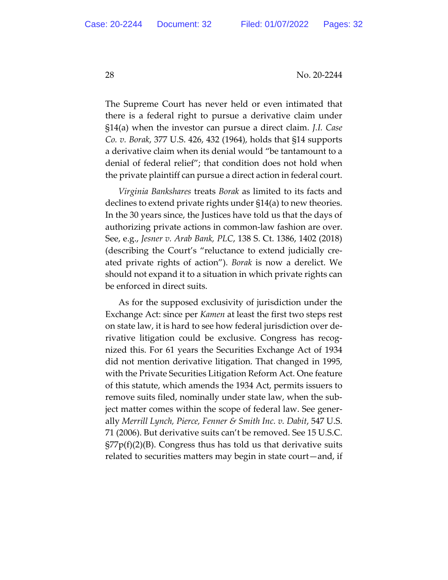The Supreme Court has never held or even intimated that there is a federal right to pursue a derivative claim under §14(a) when the investor can pursue a direct claim. *J.I. Case Co. v. Borak*, 377 U.S. 426, 432 (1964), holds that §14 supports a derivative claim when its denial would "be tantamount to a denial of federal relief"; that condition does not hold when the private plaintiff can pursue a direct action in federal court.

*Virginia Bankshares* treats *Borak* as limited to its facts and declines to extend private rights under §14(a) to new theories. In the 30 years since, the Justices have told us that the days of authorizing private actions in common-law fashion are over. See, e.g., *Jesner v. Arab Bank, PLC*, 138 S. Ct. 1386, 1402 (2018) (describing the Court's "reluctance to extend judicially created private rights of action"). *Borak* is now a derelict. We should not expand it to a situation in which private rights can be enforced in direct suits.

As for the supposed exclusivity of jurisdiction under the Exchange Act: since per *Kamen* at least the first two steps rest on state law, it is hard to see how federal jurisdiction over derivative litigation could be exclusive. Congress has recognized this. For 61 years the Securities Exchange Act of 1934 did not mention derivative litigation. That changed in 1995, with the Private Securities Litigation Reform Act. One feature of this statute, which amends the 1934 Act, permits issuers to remove suits filed, nominally under state law, when the subject matter comes within the scope of federal law. See generally *Merrill Lynch, Pierce, Fenner & Smith Inc. v. Dabit*, 547 U.S. 71 (2006). But derivative suits can't be removed. See 15 U.S.C.  $\frac{\pi}{27}p(f)(2)(B)$ . Congress thus has told us that derivative suits related to securities matters may begin in state court—and, if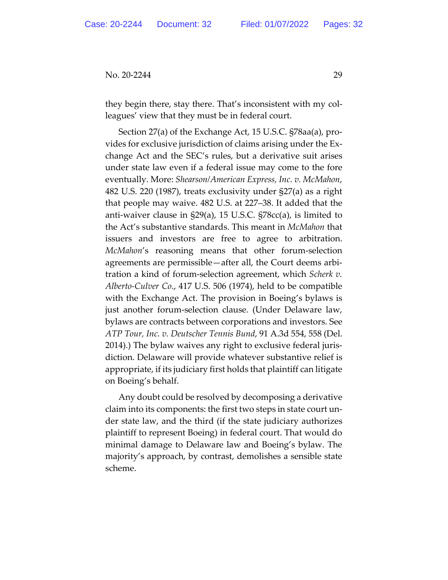they begin there, stay there. That's inconsistent with my colleagues' view that they must be in federal court.

Section 27(a) of the Exchange Act, 15 U.S.C. §78aa(a), provides for exclusive jurisdiction of claims arising under the Exchange Act and the SEC's rules, but a derivative suit arises under state law even if a federal issue may come to the fore eventually. More: *Shearson/American Express, Inc. v. McMahon*, 482 U.S. 220 (1987), treats exclusivity under §27(a) as a right that people may waive. 482 U.S. at 227–38. It added that the anti-waiver clause in §29(a), 15 U.S.C. §78cc(a), is limited to the Act's substantive standards. This meant in *McMahon* that issuers and investors are free to agree to arbitration. *McMahon*'s reasoning means that other forum-selection agreements are permissible—after all, the Court deems arbitration a kind of forum-selection agreement, which *Scherk v. Alberto-Culver Co*., 417 U.S. 506 (1974), held to be compatible with the Exchange Act. The provision in Boeing's bylaws is just another forum-selection clause. (Under Delaware law, bylaws are contracts between corporations and investors. See *ATP Tour, Inc. v. Deutscher Tennis Bund*, 91 A.3d 554, 558 (Del. 2014).) The bylaw waives any right to exclusive federal jurisdiction. Delaware will provide whatever substantive relief is appropriate, if its judiciary first holds that plaintiff can litigate on Boeing's behalf.

Any doubt could be resolved by decomposing a derivative claim into its components: the first two steps in state court under state law, and the third (if the state judiciary authorizes plaintiff to represent Boeing) in federal court. That would do minimal damage to Delaware law and Boeing's bylaw. The majority's approach, by contrast, demolishes a sensible state scheme.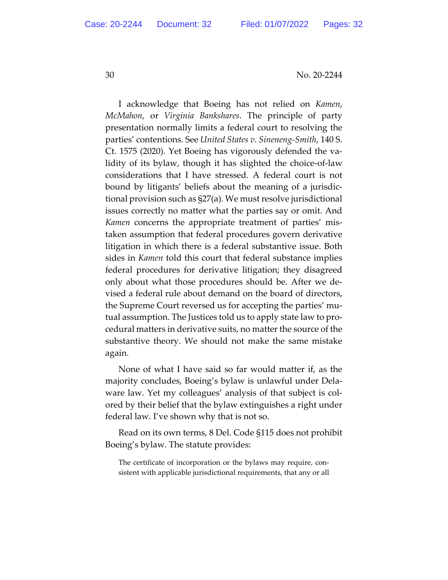I acknowledge that Boeing has not relied on *Kamen*, *McMahon*, or *Virginia Bankshares*. The principle of party presentation normally limits a federal court to resolving the parties' contentions. See *United States v. Sineneng-Smith*, 140 S. Ct. 1575 (2020). Yet Boeing has vigorously defended the validity of its bylaw, though it has slighted the choice-of-law considerations that I have stressed. A federal court is not bound by litigants' beliefs about the meaning of a jurisdictional provision such as §27(a). We must resolve jurisdictional issues correctly no matter what the parties say or omit. And *Kamen* concerns the appropriate treatment of parties' mistaken assumption that federal procedures govern derivative litigation in which there is a federal substantive issue. Both sides in *Kamen* told this court that federal substance implies federal procedures for derivative litigation; they disagreed only about what those procedures should be. After we devised a federal rule about demand on the board of directors, the Supreme Court reversed us for accepting the parties' mutual assumption. The Justices told us to apply state law to procedural matters in derivative suits, no matter the source of the substantive theory. We should not make the same mistake again.

None of what I have said so far would matter if, as the majority concludes, Boeing's bylaw is unlawful under Delaware law. Yet my colleagues' analysis of that subject is colored by their belief that the bylaw extinguishes a right under federal law. I've shown why that is not so.

Read on its own terms, 8 Del. Code §115 does not prohibit Boeing's bylaw. The statute provides:

The certificate of incorporation or the bylaws may require, consistent with applicable jurisdictional requirements, that any or all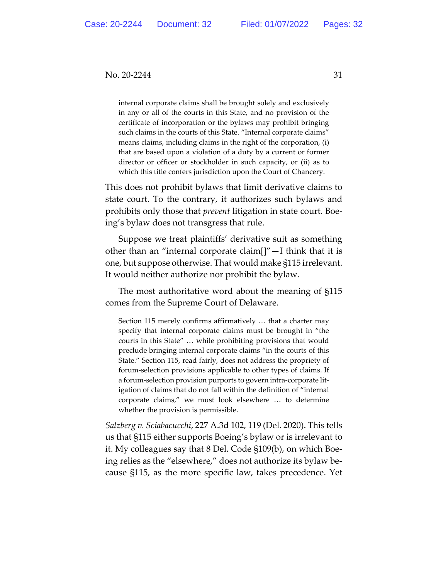internal corporate claims shall be brought solely and exclusively in any or all of the courts in this State, and no provision of the certificate of incorporation or the bylaws may prohibit bringing such claims in the courts of this State. "Internal corporate claims" means claims, including claims in the right of the corporation, (i) that are based upon a violation of a duty by a current or former director or officer or stockholder in such capacity, or (ii) as to which this title confers jurisdiction upon the Court of Chancery.

This does not prohibit bylaws that limit derivative claims to state court. To the contrary, it authorizes such bylaws and prohibits only those that *prevent* litigation in state court. Boeing's bylaw does not transgress that rule.

Suppose we treat plaintiffs' derivative suit as something other than an "internal corporate claim[]"—I think that it is one, but suppose otherwise. That would make §115 irrelevant. It would neither authorize nor prohibit the bylaw.

The most authoritative word about the meaning of §115 comes from the Supreme Court of Delaware.

Section 115 merely confirms affirmatively … that a charter may specify that internal corporate claims must be brought in "the courts in this State" … while prohibiting provisions that would preclude bringing internal corporate claims "in the courts of this State." Section 115, read fairly, does not address the propriety of forum-selection provisions applicable to other types of claims. If a forum-selection provision purports to govern intra-corporate litigation of claims that do not fall within the definition of "internal corporate claims," we must look elsewhere … to determine whether the provision is permissible.

*Salzberg v. Sciabacucchi*, 227 A.3d 102, 119 (Del. 2020). This tells us that §115 either supports Boeing's bylaw or is irrelevant to it. My colleagues say that 8 Del. Code §109(b), on which Boeing relies as the "elsewhere," does not authorize its bylaw because §115, as the more specific law, takes precedence. Yet